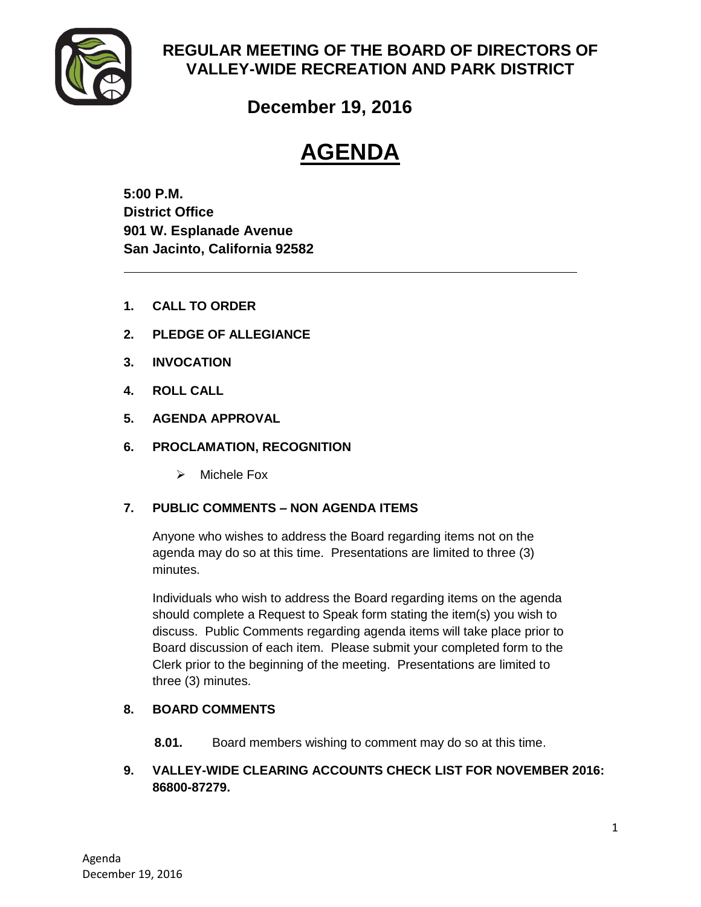

# **REGULAR MEETING OF THE BOARD OF DIRECTORS OF VALLEY-WIDE RECREATION AND PARK DISTRICT**

**December 19, 2016**

# **AGENDA**

**5:00 P.M. District Office 901 W. Esplanade Avenue San Jacinto, California 92582**

- **1. CALL TO ORDER**
- **2. PLEDGE OF ALLEGIANCE**
- **3. INVOCATION**
- **4. ROLL CALL**
- **5. AGENDA APPROVAL**
- **6. PROCLAMATION, RECOGNITION** 
	- $\triangleright$  Michele Fox

# **7. PUBLIC COMMENTS – NON AGENDA ITEMS**

Anyone who wishes to address the Board regarding items not on the agenda may do so at this time. Presentations are limited to three (3) minutes.

Individuals who wish to address the Board regarding items on the agenda should complete a Request to Speak form stating the item(s) you wish to discuss. Public Comments regarding agenda items will take place prior to Board discussion of each item. Please submit your completed form to the Clerk prior to the beginning of the meeting. Presentations are limited to three (3) minutes.

# **8. BOARD COMMENTS**

**8.01.** Board members wishing to comment may do so at this time.

# **9. VALLEY-WIDE CLEARING ACCOUNTS CHECK LIST FOR NOVEMBER 2016: 86800-87279.**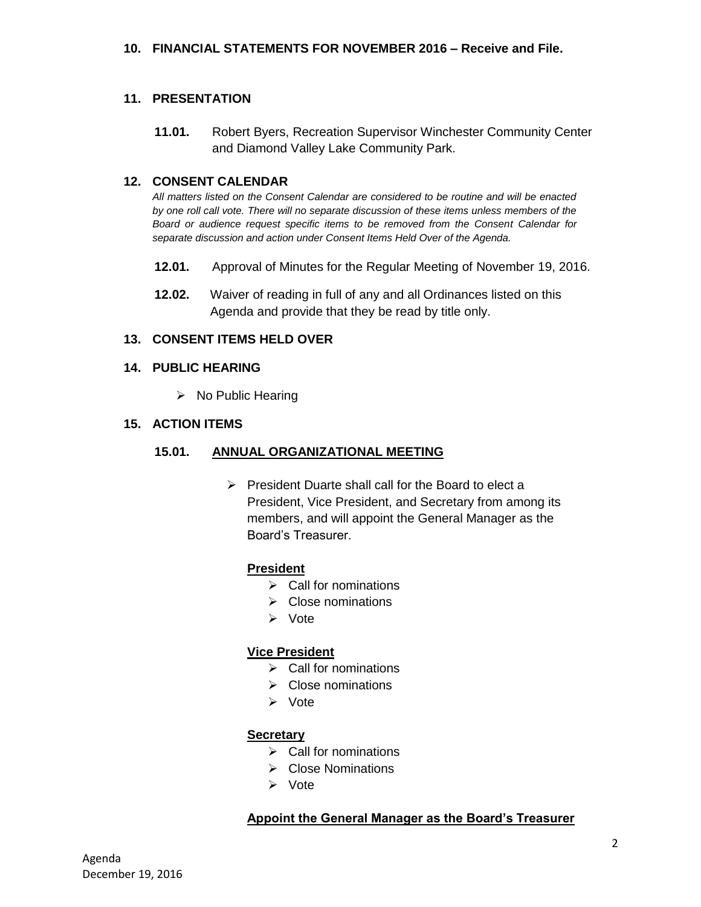#### **11. PRESENTATION**

**11.01.** Robert Byers, Recreation Supervisor Winchester Community Center and Diamond Valley Lake Community Park.

#### **12. CONSENT CALENDAR**

*All matters listed on the Consent Calendar are considered to be routine and will be enacted by one roll call vote. There will no separate discussion of these items unless members of the Board or audience request specific items to be removed from the Consent Calendar for separate discussion and action under Consent Items Held Over of the Agenda.* 

- **12.01.** Approval of Minutes for the Regular Meeting of November 19, 2016.
- **12.02.** Waiver of reading in full of any and all Ordinances listed on this Agenda and provide that they be read by title only.

#### **13. CONSENT ITEMS HELD OVER**

#### **14. PUBLIC HEARING**

 $\triangleright$  No Public Hearing

## **15. ACTION ITEMS**

#### **15.01. ANNUAL ORGANIZATIONAL MEETING**

 $\triangleright$  President Duarte shall call for the Board to elect a President, Vice President, and Secretary from among its members, and will appoint the General Manager as the Board's Treasurer.

#### **President**

- $\triangleright$  Call for nominations
- $\triangleright$  Close nominations
- $\triangleright$  Vote

#### **Vice President**

- $\triangleright$  Call for nominations
- $\triangleright$  Close nominations
- > Vote

#### **Secretary**

- $\triangleright$  Call for nominations
- $\triangleright$  Close Nominations
- > Vote

#### **Appoint the General Manager as the Board's Treasurer**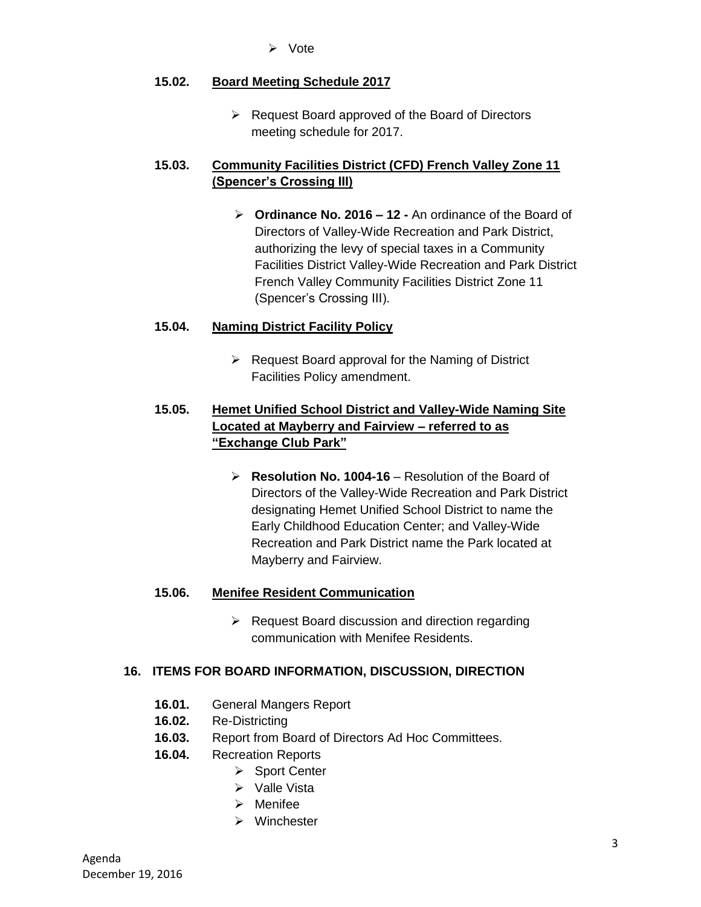Vote

## **15.02. Board Meeting Schedule 2017**

 $\triangleright$  Request Board approved of the Board of Directors meeting schedule for 2017.

# **15.03. Community Facilities District (CFD) French Valley Zone 11 (Spencer's Crossing III)**

 **Ordinance No. 2016 – 12 -** An ordinance of the Board of Directors of Valley-Wide Recreation and Park District, authorizing the levy of special taxes in a Community Facilities District Valley-Wide Recreation and Park District French Valley Community Facilities District Zone 11 (Spencer's Crossing III).

# **15.04. Naming District Facility Policy**

 $\triangleright$  Request Board approval for the Naming of District Facilities Policy amendment.

# **15.05. Hemet Unified School District and Valley-Wide Naming Site Located at Mayberry and Fairview – referred to as "Exchange Club Park"**

 **Resolution No. 1004-16** – Resolution of the Board of Directors of the Valley-Wide Recreation and Park District designating Hemet Unified School District to name the Early Childhood Education Center; and Valley-Wide Recreation and Park District name the Park located at Mayberry and Fairview.

#### **15.06. Menifee Resident Communication**

 $\triangleright$  Request Board discussion and direction regarding communication with Menifee Residents.

# **16. ITEMS FOR BOARD INFORMATION, DISCUSSION, DIRECTION**

- **16.01.** General Mangers Report
- **16.02.** Re-Districting
- **16.03.** Report from Board of Directors Ad Hoc Committees.
- **16.04.** Recreation Reports
	- ▶ Sport Center
	- $\triangleright$  Valle Vista
	- $\triangleright$  Menifee
	- Winchester